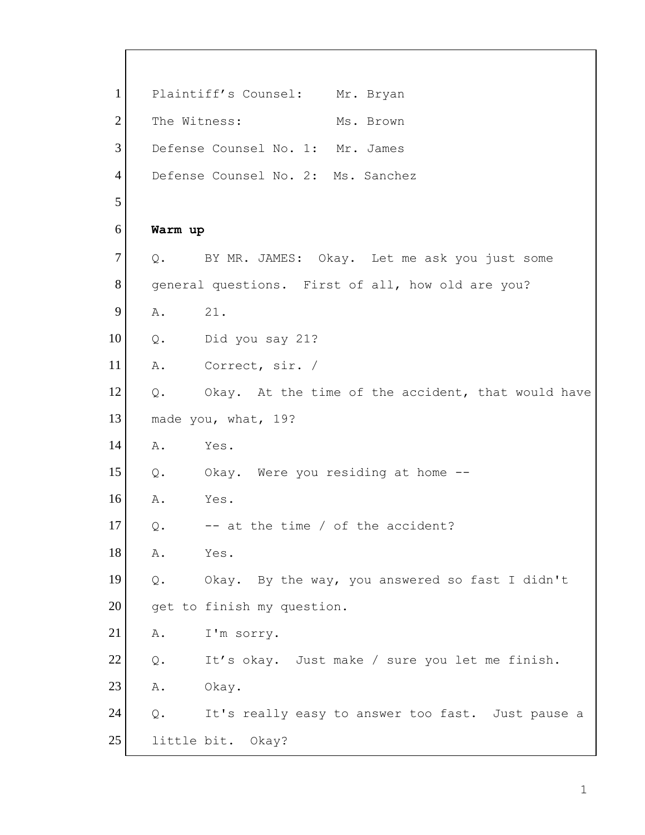1 Plaintiff's Counsel: Mr. Bryan 2 The Witness: Ms. Brown 3 Defense Counsel No. 1: Mr. James 4 Defense Counsel No. 2: Ms. Sanchez 5 6 **Warm up** 7 Q. BY MR. JAMES: Okay. Let me ask you just some 8 general questions. First of all, how old are you? 9 A. 21. 10 Q. Did you say 21? 11 A. Correct, sir. / 12 | Q. Okay. At the time of the accident, that would have 13 made you, what, 19? 14 A. Yes. 15 Q. Okay. Were you residing at home -- 16 A. Yes.  $17$  Q.  $-$  at the time / of the accident? 18 A. Yes. 19 Q. Okay. By the way, you answered so fast I didn't 20 get to finish my question. 21 A. I'm sorry. 22 Q. It's okay. Just make / sure you let me finish. 23 A. Okay. 24 Q. It's really easy to answer too fast. Just pause a 25 little bit. Okay?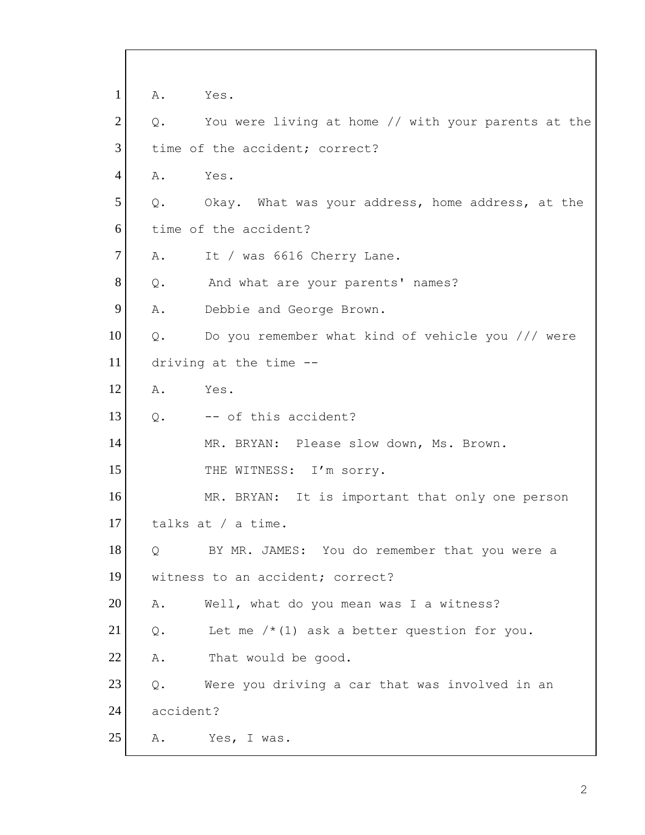1 A. Yes.  $2$  Q. You were living at home // with your parents at the 3 time of the accident; correct? 4 A. Yes. 5 | Q. Okay. What was your address, home address, at the 6 time of the accident? 7 A. It / was 6616 Cherry Lane. 8 Q. And what are your parents' names? 9 A. Debbie and George Brown.  $10$  Q. Do you remember what kind of vehicle you /// were 11 driving at the time -- 12 A. Yes.  $13$  Q.  $-$  of this accident? 14 MR. BRYAN: Please slow down, Ms. Brown. 15 THE WITNESS: I'm sorry. 16 MR. BRYAN: It is important that only one person 17 talks at / a time. 18 | Q BY MR. JAMES: You do remember that you were a 19 | witness to an accident; correct? 20 A. Well, what do you mean was I a witness? 21  $\boxed{Q.}$  Let me /\*(1) ask a better question for you. 22 A. That would be good.  $23$  Q. Were you driving a car that was involved in an 24 accident? 25 A. Yes, I was.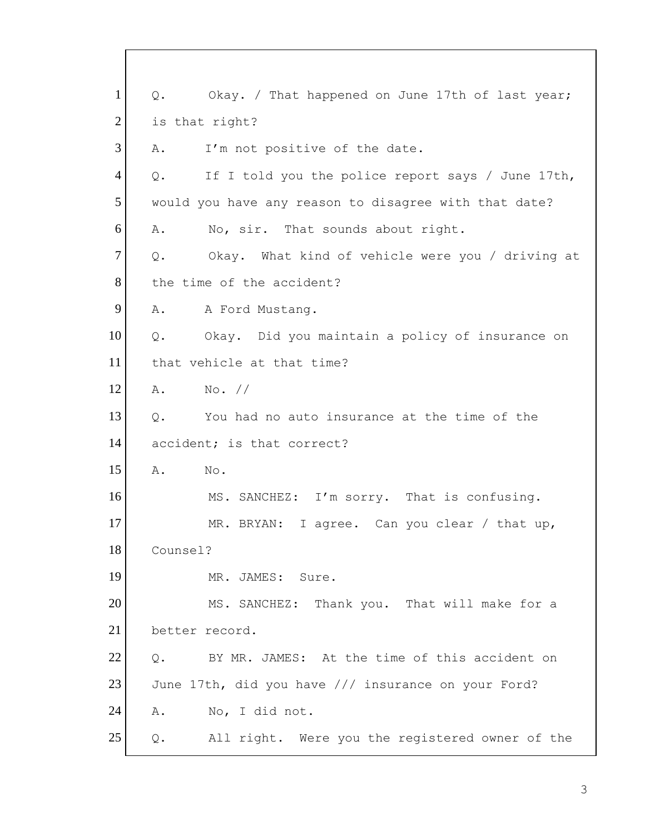| $\mathbf{1}$   | Okay. / That happened on June 17th of last year;<br>$Q$ .         |
|----------------|-------------------------------------------------------------------|
| $\overline{2}$ | is that right?                                                    |
| 3              | I'm not positive of the date.<br>Α.                               |
| $\overline{4}$ | Q.<br>If I told you the police report says / June 17th,           |
| 5              | would you have any reason to disagree with that date?             |
| 6              | No, sir. That sounds about right.<br>Α.                           |
| $\tau$         | Okay. What kind of vehicle were you / driving at<br>$Q$ .         |
| 8              | the time of the accident?                                         |
| 9              | Α.<br>A Ford Mustang.                                             |
| 10             | Okay. Did you maintain a policy of insurance on<br>$Q_{\bullet}$  |
| 11             | that vehicle at that time?                                        |
| 12             | No. //<br>Α.                                                      |
| 13             | Q.<br>You had no auto insurance at the time of the                |
| 14             | accident; is that correct?                                        |
| 15             | Α.<br>No.                                                         |
| 16             | MS. SANCHEZ: I'm sorry. That is confusing.                        |
| 17             | MR. BRYAN: I agree. Can you clear / that up,                      |
| 18             | Counsel?                                                          |
| 19             | MR. JAMES: Sure.                                                  |
| 20             | MS. SANCHEZ: Thank you. That will make for a                      |
| 21             | better record.                                                    |
| 22             | BY MR. JAMES: At the time of this accident on<br>Q.               |
| 23             | June 17th, did you have /// insurance on your Ford?               |
| 24             | No, I did not.<br>Α.                                              |
| 25             | All right. Were you the registered owner of the<br>$\mathsf{Q}$ . |

 $\Gamma$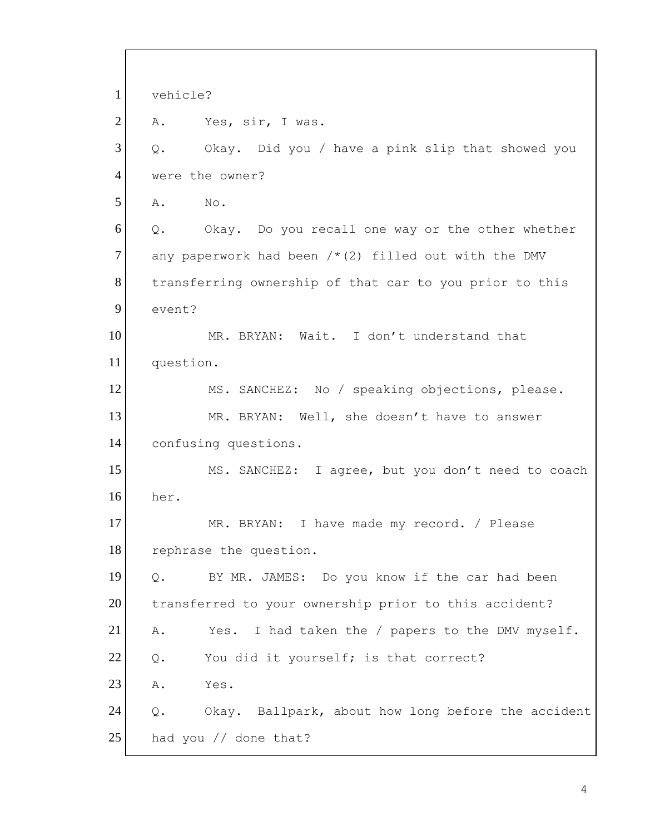1 vehicle? 2 A. Yes, sir, I was. 3 Q. Okay. Did you / have a pink slip that showed you 4 were the owner? 5 A. No.  $6$  Q. Okay. Do you recall one way or the other whether 7 any paperwork had been  $/*$  (2) filled out with the DMV 8 transferring ownership of that car to you prior to this 9 event? 10 MR. BRYAN: Wait. I don't understand that 11 question. 12 MS. SANCHEZ: No / speaking objections, please. 13 MR. BRYAN: Well, she doesn't have to answer 14 confusing questions. 15 MS. SANCHEZ: I agree, but you don't need to coach 16 her. 17 MR. BRYAN: I have made my record. / Please 18 rephrase the question. 19 Q. BY MR. JAMES: Do you know if the car had been 20 transferred to your ownership prior to this accident? 21 A. Yes. I had taken the / papers to the DMV myself.  $22$  Q. You did it yourself; is that correct? 23 A. Yes. 24 Q. Okay. Ballpark, about how long before the accident 25 had you // done that?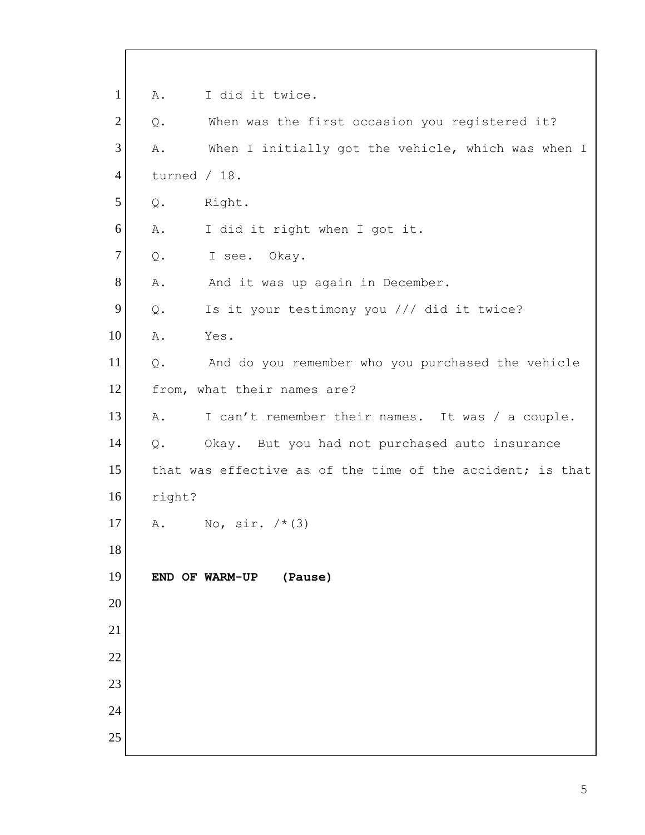A. I did it twice. Q. When was the first occasion you registered it? 3 A. When I initially got the vehicle, which was when I turned / 18. Q. Right. A. I did it right when I got it. 7 Q. I see. Okay. 8 A. And it was up again in December. 9 Q. Is it your testimony you /// did it twice? A. Yes. Q. And do you remember who you purchased the vehicle 12 from, what their names are? 13 A. I can't remember their names. It was / a couple. Q. Okay. But you had not purchased auto insurance 15 that was effective as of the time of the accident; is that right? 17 A. No,  $\sin \frac{1}{x}(3)$  **END OF WARM-UP (Pause)**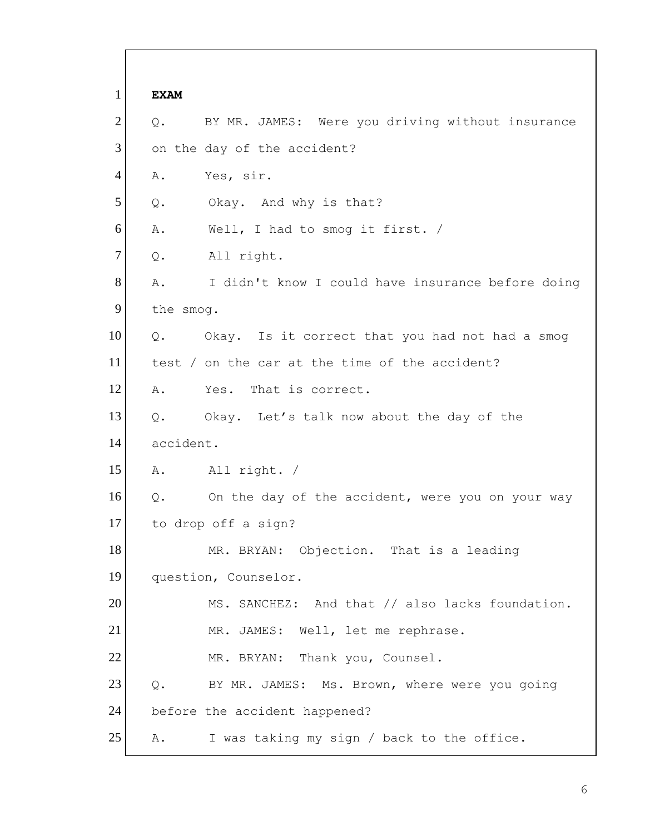1 **EXAM** 2 Q. BY MR. JAMES: Were you driving without insurance 3 on the day of the accident? 4 A. Yes, sir. 5 Q. Okay. And why is that? 6 A. Well, I had to smog it first. / 7 Q. All right. 8 A. I didn't know I could have insurance before doing 9 the smog. 10 | Q. Okay. Is it correct that you had not had a smog 11 test / on the car at the time of the accident? 12 A. Yes. That is correct. 13 Q. Okay. Let's talk now about the day of the 14 accident. 15 A. All right. / 16 | Q. On the day of the accident, were you on your way 17 to drop off a sign? 18 MR. BRYAN: Objection. That is a leading 19 question, Counselor. 20 MS. SANCHEZ: And that // also lacks foundation. 21 MR. JAMES: Well, let me rephrase. 22 MR. BRYAN: Thank you, Counsel. 23 Q. BY MR. JAMES: Ms. Brown, where were you going 24 before the accident happened? 25 A. I was taking my sign / back to the office.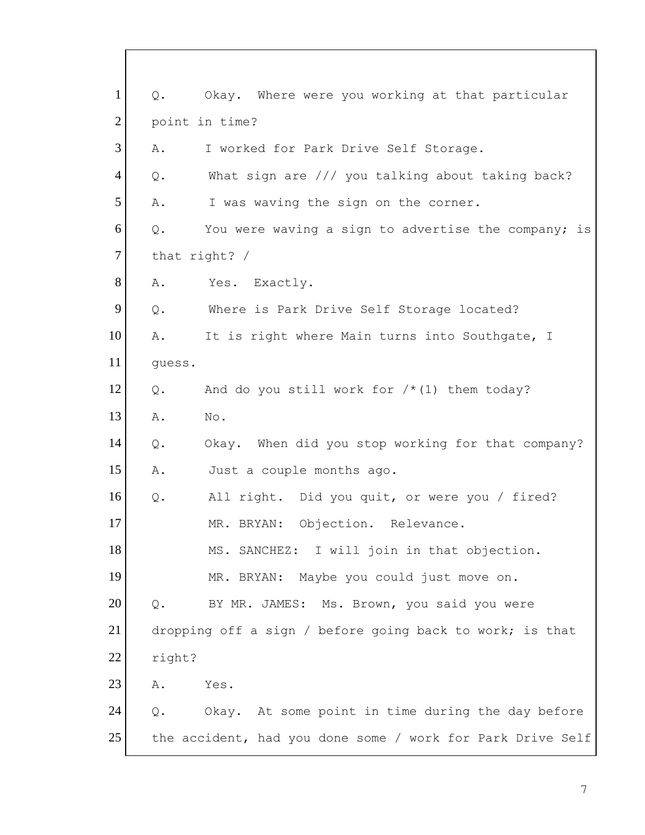1 Q. Okay. Where were you working at that particular 2 point in time? 3 A. I worked for Park Drive Self Storage. 4 Q. What sign are /// you talking about taking back? 5 A. I was waving the sign on the corner.  $6$  Q. You were waving a sign to advertise the company; is 7 that right? / 8 A. Yes. Exactly. 9 Q. Where is Park Drive Self Storage located? 10 A. It is right where Main turns into Southgate, I 11 guess. 12  $\boxed{Q}$ . And do you still work for  $/*$  (1) them today? 13 A. No. 14 Q. Okay. When did you stop working for that company? 15 A. Just a couple months ago. 16 Q. All right. Did you quit, or were you / fired? 17 MR. BRYAN: Objection. Relevance. 18 MS. SANCHEZ: I will join in that objection. 19 MR. BRYAN: Maybe you could just move on. 20 Q. BY MR. JAMES: Ms. Brown, you said you were 21 dropping off a sign / before going back to work; is that 22 right? 23 A. Yes. 24 | Q. Okay. At some point in time during the day before 25 the accident, had you done some / work for Park Drive Self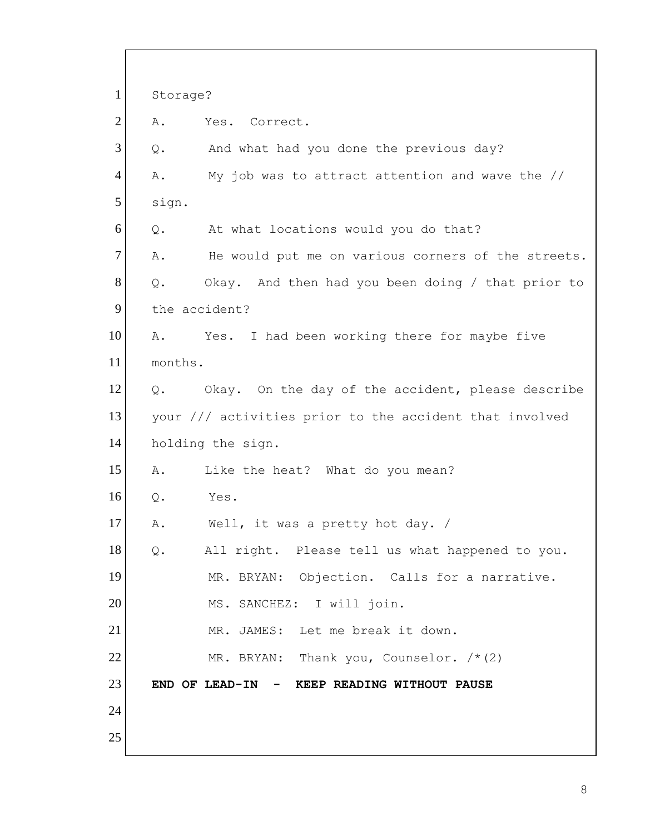1 Storage? 2 A. Yes. Correct. 3 Q. And what had you done the previous day? 4 A. My job was to attract attention and wave the // 5 sign.  $6$  Q. At what locations would you do that? 7 A. He would put me on various corners of the streets. 8 Q. Okay. And then had you been doing / that prior to 9 the accident? 10 A. Yes. I had been working there for maybe five 11 months. 12 | Q. Okay. On the day of the accident, please describe 13 your /// activities prior to the accident that involved 14 holding the sign. 15 A. Like the heat? What do you mean? 16 Q. Yes. 17 A. Well, it was a pretty hot day. / 18 | Q. All right. Please tell us what happened to you. 19 MR. BRYAN: Objection. Calls for a narrative. 20 MS. SANCHEZ: I will join. 21 MR. JAMES: Let me break it down. 22 MR. BRYAN: Thank you, Counselor.  $/*(2)$ 23 **END OF LEAD-IN - KEEP READING WITHOUT PAUSE** 24 25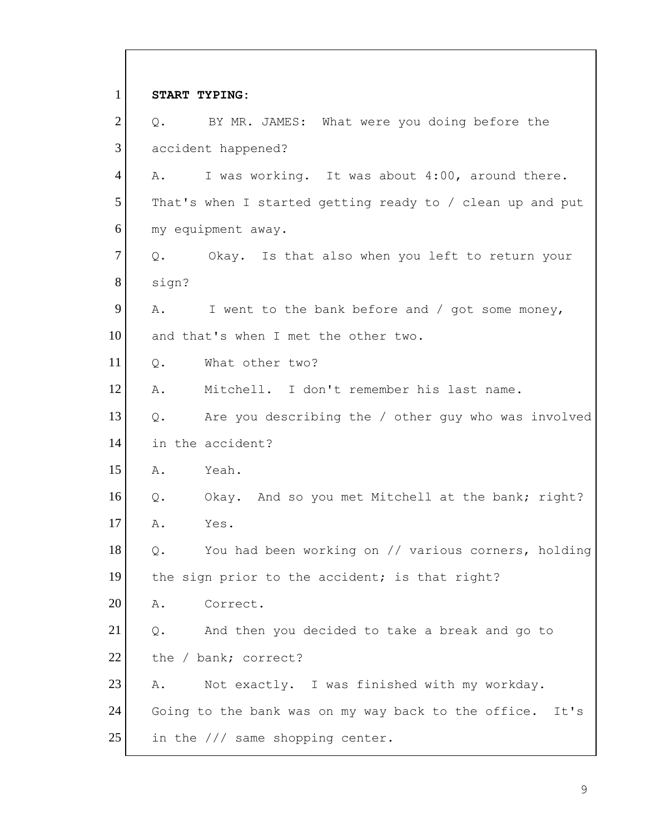1 **START TYPING:**  $2$  Q. BY MR. JAMES: What were you doing before the 3 accident happened? 4 A. I was working. It was about 4:00, around there. 5 That's when I started getting ready to / clean up and put 6 my equipment away.  $7$  Q. Okay. Is that also when you left to return your 8 sign? 9  $\vert$  A. I went to the bank before and / got some money, 10 and that's when I met the other two. 11 Q. What other two? 12 A. Mitchell. I don't remember his last name. 13 | Q. Are you describing the / other guy who was involved 14 in the accident? 15 A. Yeah. 16 Q. Okay. And so you met Mitchell at the bank; right? 17 A. Yes. 18 | Q. You had been working on // various corners, holding 19 the sign prior to the accident; is that right? 20 A. Correct.  $21$  Q. And then you decided to take a break and go to 22 the / bank; correct? 23 A. Not exactly. I was finished with my workday. 24 Going to the bank was on my way back to the office. It's 25 in the /// same shopping center.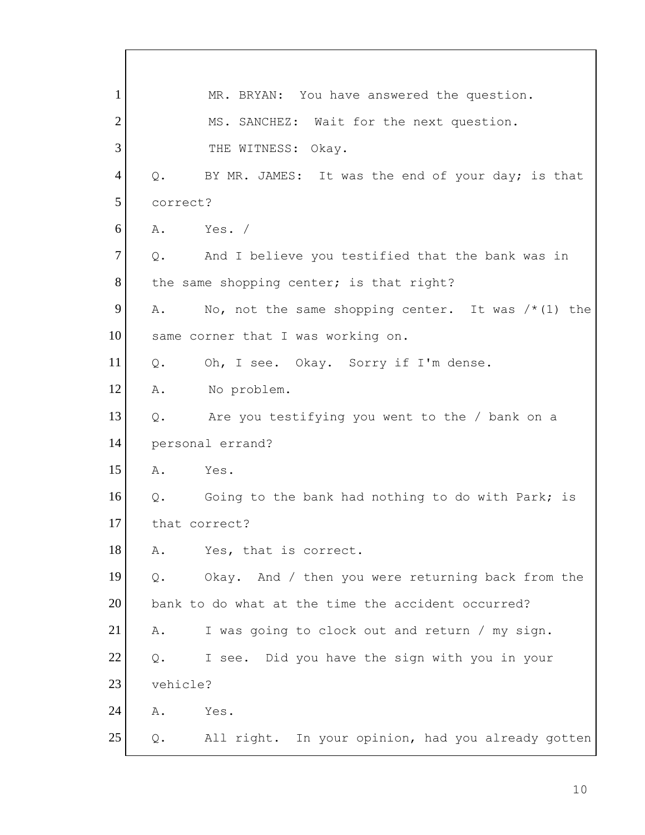1 MR. BRYAN: You have answered the question. 2 MS. SANCHEZ: Wait for the next question. 3 THE WITNESS: Okay. 4 Q. BY MR. JAMES: It was the end of your day; is that 5 correct? 6 A. Yes. /  $7$  Q. And I believe you testified that the bank was in 8 the same shopping center; is that right? 9 A. No, not the same shopping center. It was  $/*(1)$  the 10 same corner that I was working on. 11 Q. Oh, I see. Okay. Sorry if I'm dense. 12 A. No problem. 13 Q. Are you testifying you went to the / bank on a 14 personal errand? 15 A. Yes. 16 Q. Going to the bank had nothing to do with Park; is 17 that correct? 18 A. Yes, that is correct. 19 Q. Okay. And / then you were returning back from the 20 bank to do what at the time the accident occurred? 21 A. I was going to clock out and return / my sign.  $22$  Q. I see. Did you have the sign with you in your 23 vehicle? 24 A. Yes. 25 | Q. All right. In your opinion, had you already gotten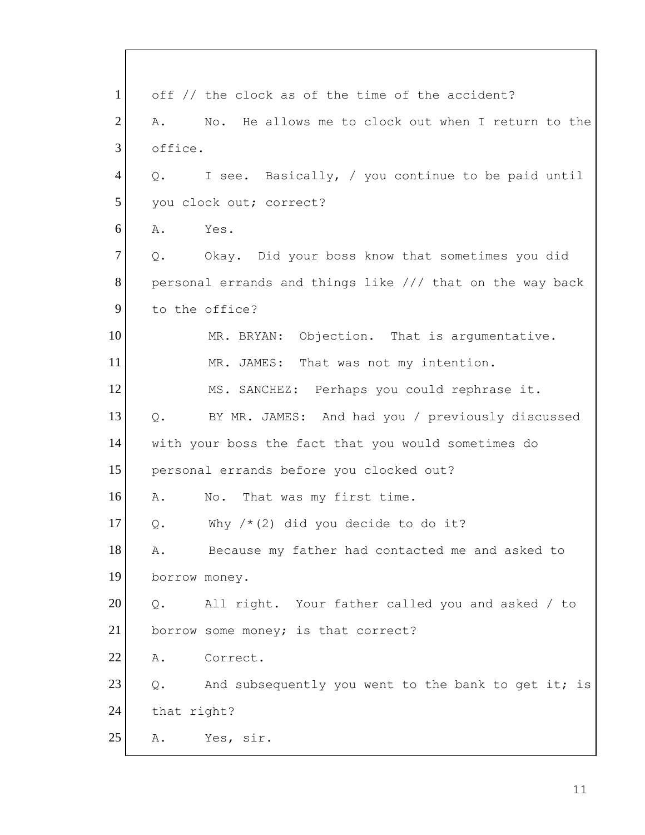1 off // the clock as of the time of the accident?  $2$  A. No. He allows me to clock out when I return to the 3 office. 4 Q. I see. Basically, / you continue to be paid until 5 you clock out; correct?  $6$  A. Yes. 7 Q. Okay. Did your boss know that sometimes you did 8 personal errands and things like /// that on the way back 9 to the office? 10 MR. BRYAN: Objection. That is argumentative. 11 MR. JAMES: That was not my intention. 12 MS. SANCHEZ: Perhaps you could rephrase it. 13 Q. BY MR. JAMES: And had you / previously discussed 14 with your boss the fact that you would sometimes do 15 personal errands before you clocked out? 16 A. No. That was my first time. 17  $\alpha$ . Why /\*(2) did you decide to do it? 18 A. Because my father had contacted me and asked to 19 borrow money. 20 | Q. All right. Your father called you and asked / to 21 borrow some money; is that correct? 22 A. Correct.  $23$  Q. And subsequently you went to the bank to get it; is 24 that right? 25 A. Yes, sir.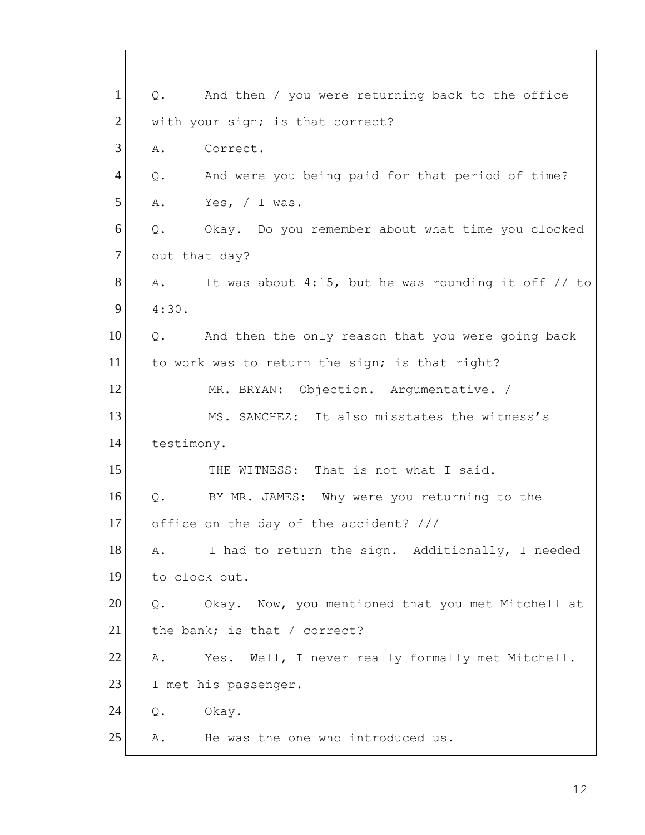1 Q. And then / you were returning back to the office 2 with your sign; is that correct? 3 A. Correct. 4 Q. And were you being paid for that period of time?  $5$  A. Yes,  $/$  I was. 6 Q. Okay. Do you remember about what time you clocked 7 out that day? 8  $\vert$  A. It was about 4:15, but he was rounding it off // to 9 4:30.  $10$  Q. And then the only reason that you were going back 11 to work was to return the sign; is that right? 12 MR. BRYAN: Objection. Argumentative. / 13 MS. SANCHEZ: It also misstates the witness's 14 testimony. 15 THE WITNESS: That is not what I said. 16 Q. BY MR. JAMES: Why were you returning to the 17 office on the day of the accident? /// 18 A. I had to return the sign. Additionally, I needed 19 to clock out. 20 | Q. Okay. Now, you mentioned that you met Mitchell at 21 the bank; is that / correct? 22 A. Yes. Well, I never really formally met Mitchell. 23 I met his passenger. 24 Q. Okay. 25 A. He was the one who introduced us.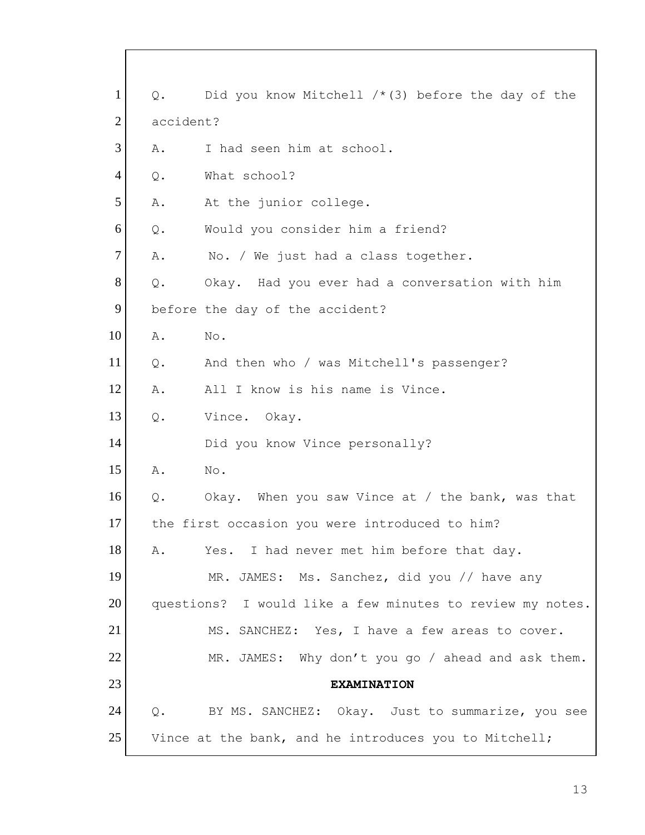| $\mathbf{1}$   | Q.        | Did you know Mitchell $/*$ (3) before the day of the      |
|----------------|-----------|-----------------------------------------------------------|
| $\overline{2}$ | accident? |                                                           |
| 3              | Α.        | I had seen him at school.                                 |
| $\overline{4}$ | Q.        | What school?                                              |
| 5              | Α.        | At the junior college.                                    |
| 6              | $Q$ .     | Would you consider him a friend?                          |
| $\tau$         | Α.        | No. / We just had a class together.                       |
| 8              | $Q$ .     | Okay. Had you ever had a conversation with him            |
| 9              |           | before the day of the accident?                           |
| 10             | Α.        | No.                                                       |
| 11             | Q.        | And then who / was Mitchell's passenger?                  |
| 12             | Α.        | All I know is his name is Vince.                          |
| 13             | $Q$ .     | Vince. Okay.                                              |
| 14             |           | Did you know Vince personally?                            |
| 15             | Α.        | No.                                                       |
| 16             | $Q$ .     | Okay. When you saw Vince at / the bank, was that          |
| 17             |           | the first occasion you were introduced to him?            |
| 18             | Α.        | Yes. I had never met him before that day.                 |
| 19             |           | MR. JAMES: Ms. Sanchez, did you // have any               |
| 20             |           | questions? I would like a few minutes to review my notes. |
| 21             |           | MS. SANCHEZ: Yes, I have a few areas to cover.            |
| 22             |           | MR. JAMES: Why don't you go / ahead and ask them.         |
| 23             |           | <b>EXAMINATION</b>                                        |
| 24             | Q.        | BY MS. SANCHEZ: Okay. Just to summarize, you see          |
| 25             |           | Vince at the bank, and he introduces you to Mitchell;     |

 $\overline{\Gamma}$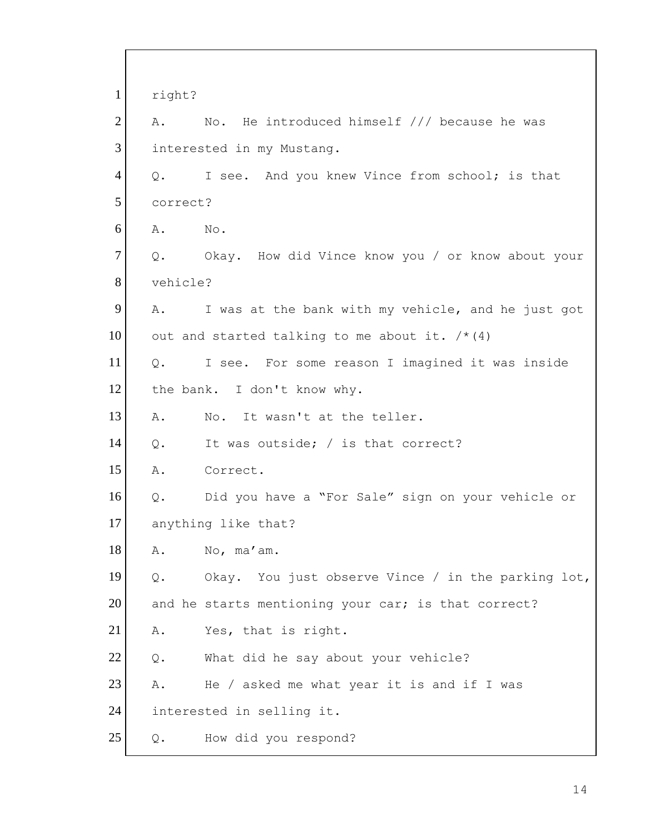| $\mathbf{1}$   | right?   |                                                       |  |
|----------------|----------|-------------------------------------------------------|--|
| $\overline{2}$ | Α.       | No. He introduced himself /// because he was          |  |
| 3              |          | interested in my Mustang.                             |  |
| $\overline{4}$ |          | Q. I see. And you knew Vince from school; is that     |  |
| 5              |          | correct?                                              |  |
| 6              | Α.       | $\mathbb{N} \circ$ .                                  |  |
| $\overline{7}$ |          | Q. Okay. How did Vince know you / or know about your  |  |
| 8              | vehicle? |                                                       |  |
| 9              |          | A. I was at the bank with my vehicle, and he just got |  |
| 10             |          | out and started talking to me about it. $/* (4)$      |  |
| 11             |          | Q. I see. For some reason I imagined it was inside    |  |
| 12             |          | the bank. I don't know why.                           |  |
| 13             | Α.       | No. It wasn't at the teller.                          |  |
| 14             | Q.       | It was outside; / is that correct?                    |  |
| 15             | Α.       | Correct.                                              |  |
| 16             | Q.       | Did you have a "For Sale" sign on your vehicle or     |  |
| 17             |          | anything like that?                                   |  |
| 18             | Α.       | No, ma'am.                                            |  |
| 19             | $Q$ .    | Okay. You just observe Vince / in the parking lot,    |  |
| 20             |          | and he starts mentioning your car; is that correct?   |  |
| 21             | Α.       | Yes, that is right.                                   |  |
| 22             | $Q$ .    | What did he say about your vehicle?                   |  |
| 23             | Α.       | He / asked me what year it is and if I was            |  |
| 24             |          | interested in selling it.                             |  |
| 25             | Q.       | How did you respond?                                  |  |

 $\overline{\Gamma}$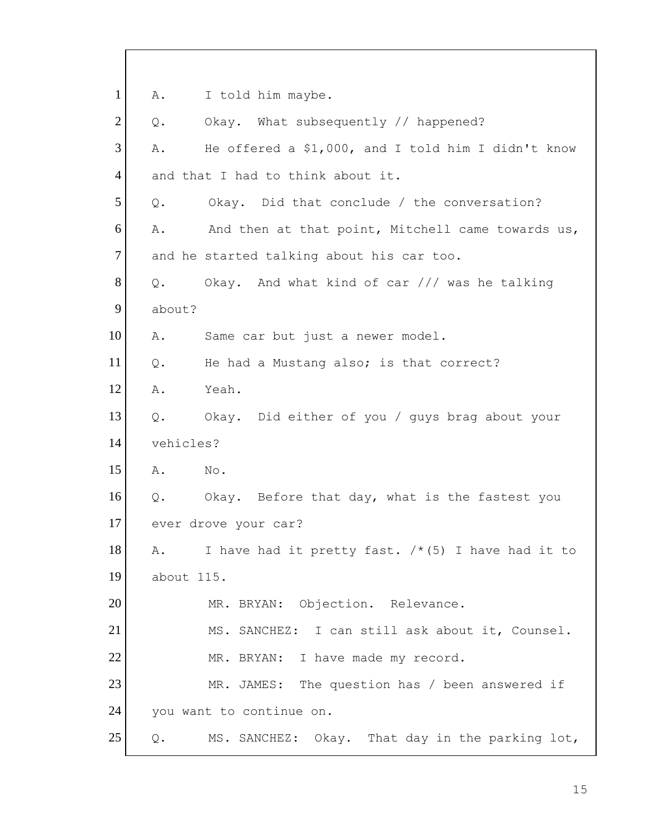1 A. I told him maybe.  $2$  Q. Okay. What subsequently // happened?  $3$  A. He offered a \$1,000, and I told him I didn't know 4 and that I had to think about it. 5 Q. Okay. Did that conclude / the conversation?  $6$  A. And then at that point, Mitchell came towards us, 7 and he started talking about his car too.  $8$  Q. Okay. And what kind of car /// was he talking 9 about? 10 A. Same car but just a newer model. 11 | Q. He had a Mustang also; is that correct? 12 A. Yeah. 13 Q. Okay. Did either of you / guys brag about your 14 vehicles? 15 A. No. 16 Q. Okay. Before that day, what is the fastest you 17 ever drove your car? 18 A. I have had it pretty fast.  $/*$  (5) I have had it to 19 about 115. 20 MR. BRYAN: Objection. Relevance. 21 MS. SANCHEZ: I can still ask about it, Counsel. 22 MR. BRYAN: I have made my record. 23 MR. JAMES: The question has / been answered if 24 you want to continue on. 25 Q. MS. SANCHEZ: Okay. That day in the parking lot,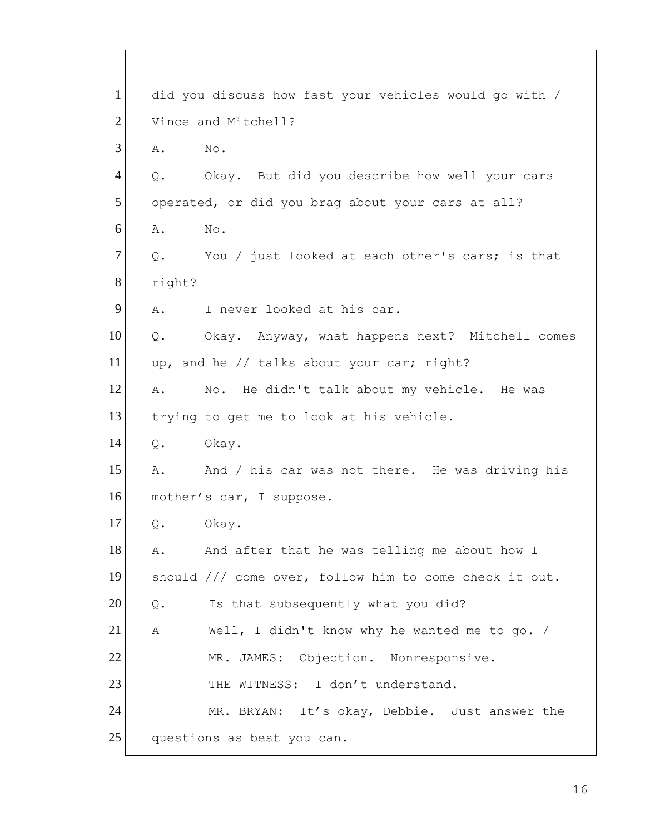| $\mathbf{1}$   | did you discuss how fast your vehicles would go with / |  |  |
|----------------|--------------------------------------------------------|--|--|
| $\overline{2}$ | Vince and Mitchell?                                    |  |  |
| 3              | Α.<br>No.                                              |  |  |
| $\overline{4}$ | Okay. But did you describe how well your cars<br>Q.    |  |  |
| 5 <sup>5</sup> | operated, or did you brag about your cars at all?      |  |  |
| 6              | No.<br>Α.                                              |  |  |
| $\tau$         | You / just looked at each other's cars; is that<br>Q.  |  |  |
| 8              | right?                                                 |  |  |
| 9              | I never looked at his car.<br>A.                       |  |  |
| 10             | Okay. Anyway, what happens next? Mitchell comes<br>Q.  |  |  |
| 11             | up, and he // talks about your car; right?             |  |  |
| 12             | No. He didn't talk about my vehicle. He was<br>Α.      |  |  |
| 13             | trying to get me to look at his vehicle.               |  |  |
| 14             | Okay.<br>Q.                                            |  |  |
| 15             | And / his car was not there. He was driving his<br>Α.  |  |  |
| 16             | mother's car, I suppose.                               |  |  |
| 17             | Q. Okay.                                               |  |  |
| 18             | And after that he was telling me about how I<br>Α.     |  |  |
| 19             | should /// come over, follow him to come check it out. |  |  |
| 20             | Is that subsequently what you did?<br>$\mathsf{Q}$ .   |  |  |
| 21             | Well, I didn't know why he wanted me to go. /<br>Α     |  |  |
| 22             | MR. JAMES: Objection. Nonresponsive.                   |  |  |
| 23             | THE WITNESS: I don't understand.                       |  |  |
| 24             | MR. BRYAN: It's okay, Debbie. Just answer the          |  |  |
| 25             | questions as best you can.                             |  |  |

 $\overline{\Gamma}$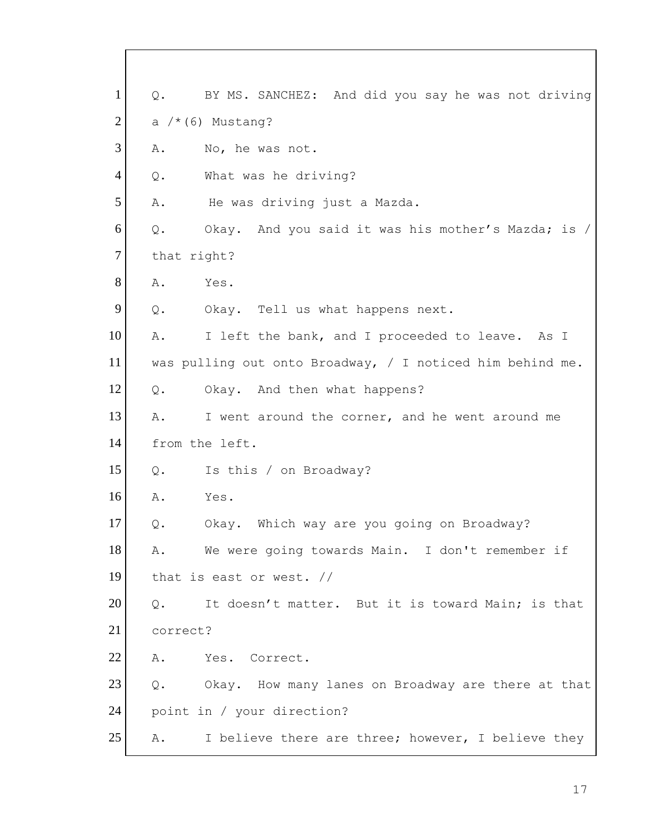1 Q. BY MS. SANCHEZ: And did you say he was not driving 2 a  $/*$  (6) Mustang? 3 A. No, he was not. 4 Q. What was he driving? 5 A. He was driving just a Mazda. 6 Q. Okay. And you said it was his mother's Mazda; is / 7 that right? 8 A. Yes. 9 Q. Okay. Tell us what happens next. 10 A. I left the bank, and I proceeded to leave. As I 11 was pulling out onto Broadway, / I noticed him behind me. 12 Q. Okay. And then what happens? 13 A. I went around the corner, and he went around me 14 from the left. 15 Q. Is this / on Broadway? 16 A. Yes. 17 Q. Okay. Which way are you going on Broadway? 18 A. We were going towards Main. I don't remember if 19 that is east or west. // 20 Q. It doesn't matter. But it is toward Main; is that 21 correct? 22 A. Yes. Correct. 23 | Q. Okay. How many lanes on Broadway are there at that 24 point in / your direction? 25 A. I believe there are three; however, I believe they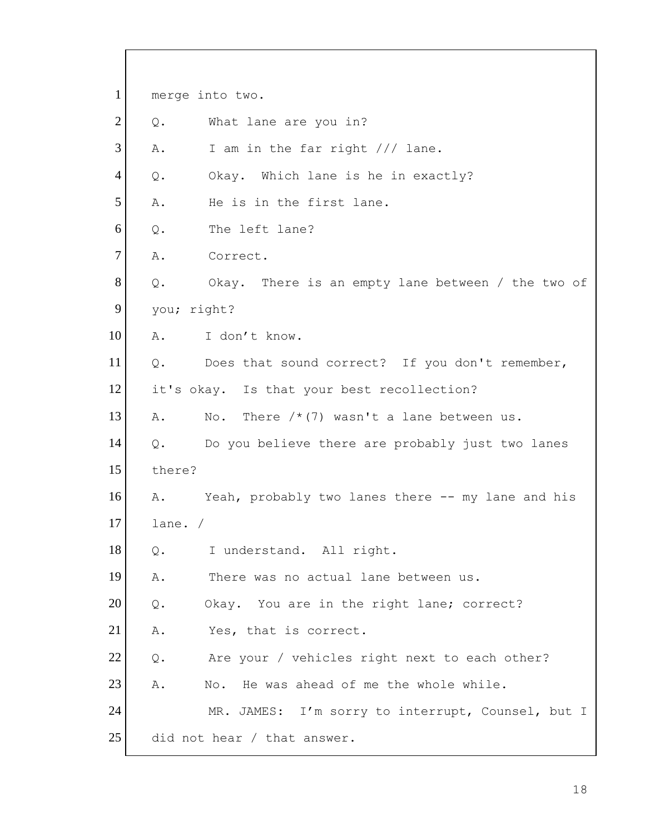1 merge into two.  $2$  Q. What lane are you in? 3 A. I am in the far right /// lane. 4 Q. Okay. Which lane is he in exactly? 5 A. He is in the first lane. 6 0. The left lane? 7 A. Correct. 8 Q. Okay. There is an empty lane between / the two of 9 you; right? 10 A. I don't know. 11 | Q. Does that sound correct? If you don't remember, 12 it's okay. Is that your best recollection? 13  $\vert$  A. No. There  $\vert \star (7)$  wasn't a lane between us. 14 Q. Do you believe there are probably just two lanes 15 there? 16 A. Yeah, probably two lanes there -- my lane and his 17 lane. / 18 | Q. I understand. All right. 19 A. There was no actual lane between us. 20 | Q. Okay. You are in the right lane; correct? 21 A. Yes, that is correct.  $22$  Q. Are your / vehicles right next to each other? 23 A. No. He was ahead of me the whole while. 24 MR. JAMES: I'm sorry to interrupt, Counsel, but I 25 did not hear / that answer.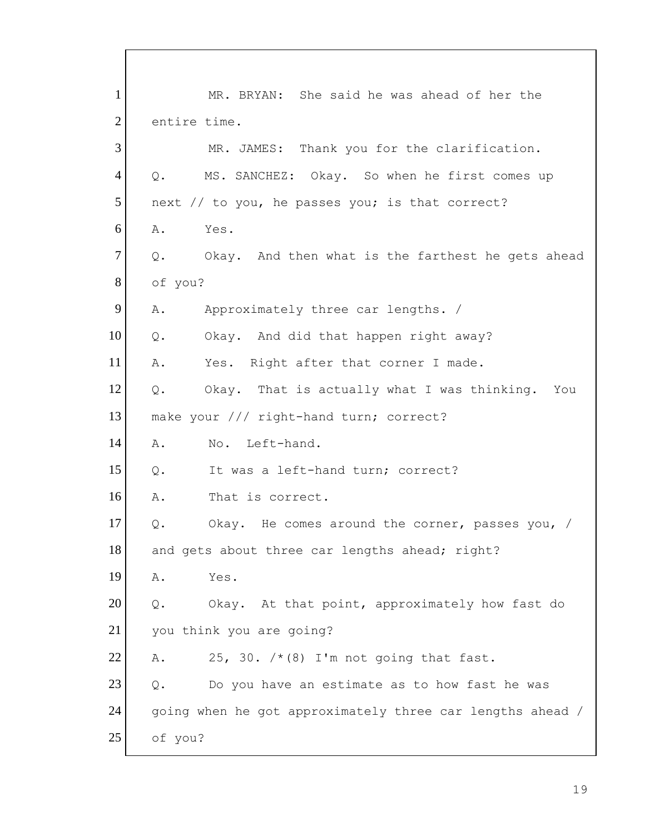1 MR. BRYAN: She said he was ahead of her the 2 entire time. 3 MR. JAMES: Thank you for the clarification. 4 Q. MS. SANCHEZ: Okay. So when he first comes up  $5$  next // to you, he passes you; is that correct? 6 A. Yes.  $7$  Q. Okay. And then what is the farthest he gets ahead 8 of you? 9 A. Approximately three car lengths. / 10 Q. Okay. And did that happen right away? 11 A. Yes. Right after that corner I made. 12 Q. Okay. That is actually what I was thinking. You 13 make your /// right-hand turn; correct? 14 A. No. Left-hand. 15 0. It was a left-hand turn; correct? 16 A. That is correct. 17 Q. Okay. He comes around the corner, passes you, / 18 and gets about three car lengths ahead; right? 19 A. Yes. 20 | Q. Okay. At that point, approximately how fast do 21 you think you are going? 22 A. 25, 30.  $/*$  (8) I'm not going that fast.  $23$  Q. Do you have an estimate as to how fast he was 24 going when he got approximately three car lengths ahead / 25 of you?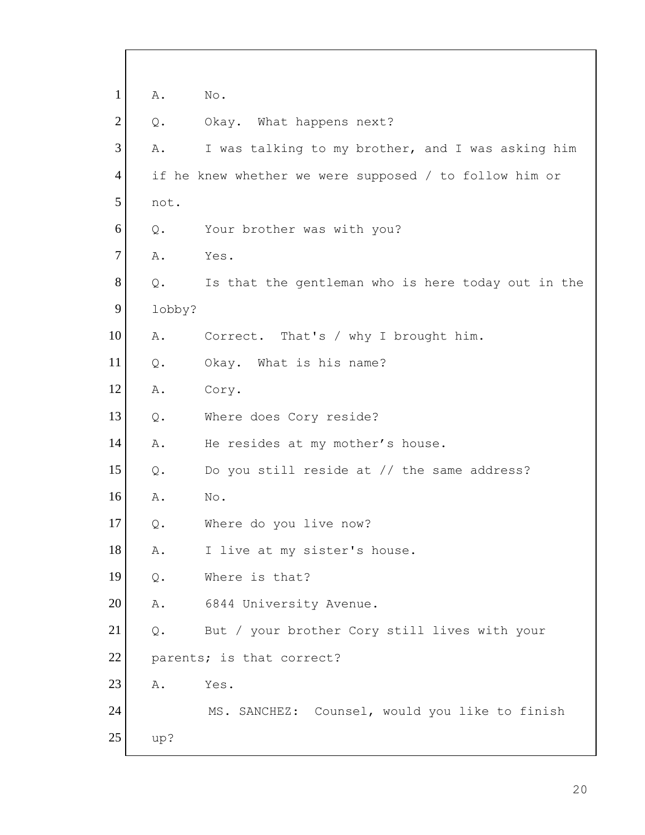| $\mathbf{1}$   | Α.     | No.                                                    |
|----------------|--------|--------------------------------------------------------|
| $\overline{2}$ | Q.     | Okay. What happens next?                               |
| 3              | Α.     | I was talking to my brother, and I was asking him      |
| 4              |        | if he knew whether we were supposed / to follow him or |
| 5              | not.   |                                                        |
| 6              | Q.     | Your brother was with you?                             |
| $\overline{7}$ | Α.     | Yes.                                                   |
| 8              | Q.     | Is that the gentleman who is here today out in the     |
| 9              | lobby? |                                                        |
| 10             | Α.     | Correct. That's / why I brought him.                   |
| 11             | Q.     | Okay. What is his name?                                |
| 12             | Α.     | Cory.                                                  |
| 13             | Q.     | Where does Cory reside?                                |
| 14             | Α.     | He resides at my mother's house.                       |
| 15             | $Q$ .  | Do you still reside at // the same address?            |
| 16             | Α.     | No.                                                    |
| 17             | Q.     | Where do you live now?                                 |
| 18             | Α.     | I live at my sister's house.                           |
| 19             | $Q$ .  | Where is that?                                         |
| 20             | Α.     | 6844 University Avenue.                                |
| 21             | Q.     | But / your brother Cory still lives with your          |
| 22             |        | parents; is that correct?                              |
| 23             | Α.     | Yes.                                                   |
| 24             |        | MS. SANCHEZ: Counsel, would you like to finish         |
| 25             | up?    |                                                        |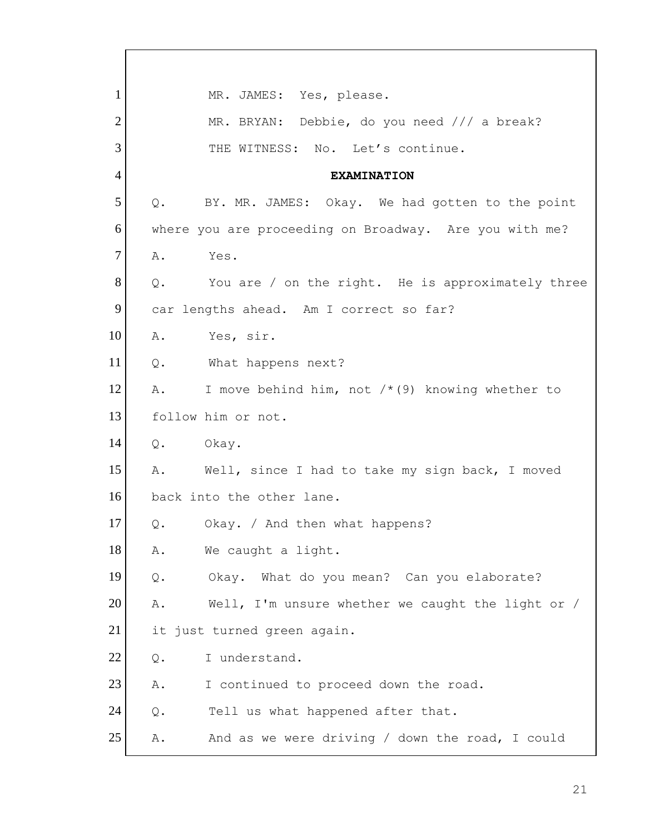1 MR. JAMES: Yes, please. 2 MR. BRYAN: Debbie, do you need /// a break? 3 THE WITNESS: No. Let's continue. 4 **EXAMINATION** 5 | Q. BY. MR. JAMES: Okay. We had gotten to the point 6 where you are proceeding on Broadway. Are you with me? 7 A. Yes.  $8$  Q. You are / on the right. He is approximately three 9 car lengths ahead. Am I correct so far? 10 A. Yes, sir. 11 Q. What happens next? 12 A. I move behind him, not  $/*$  (9) knowing whether to 13 follow him or not. 14 Q. Okay. 15 A. Well, since I had to take my sign back, I moved 16 back into the other lane. 17 Q. Okay. / And then what happens? 18 | A. We caught a light. 19 Q. Okay. What do you mean? Can you elaborate? 20 A. Well, I'm unsure whether we caught the light or / 21 it just turned green again. 22 Q. I understand. 23 A. I continued to proceed down the road. 24 Q. Tell us what happened after that. 25 A. And as we were driving / down the road, I could